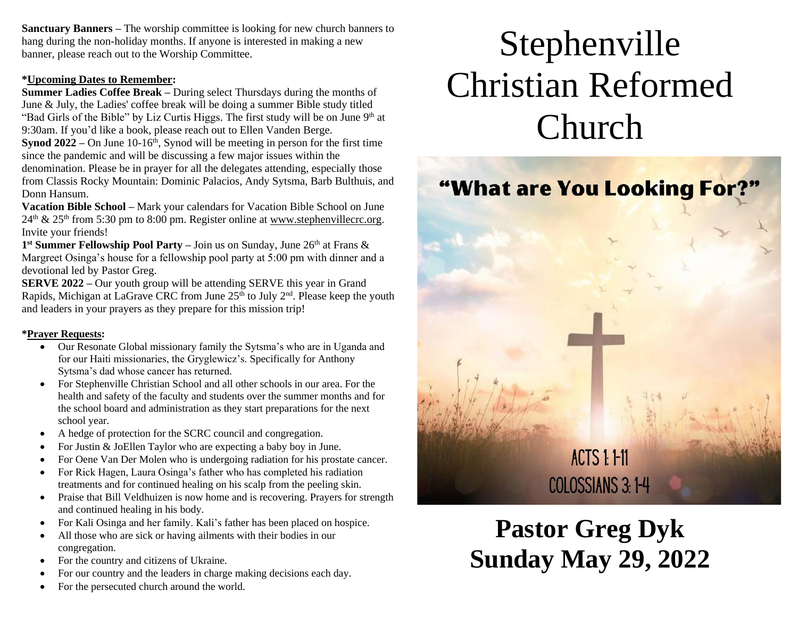**Sanctuary Banners –** The worship committee is looking for new church banners to hang during the non-holiday months. If anyone is interested in making a new banner, please reach out to the Worship Committee.

#### **\*Upcoming Dates to Remember:**

**Summer Ladies Coffee Break –** During select Thursdays during the months of June & July, the Ladies' coffee break will be doing a summer Bible study titled "Bad Girls of the Bible" by Liz Curtis Higgs. The first study will be on June  $9<sup>th</sup>$  at 9:30am. If you'd like a book, please reach out to Ellen Vanden Berge. **Synod 2022** – On June 10-16<sup>th</sup>, Synod will be meeting in person for the first time since the pandemic and will be discussing a few major issues within the denomination. Please be in prayer for all the delegates attending, especially those from Classis Rocky Mountain: Dominic Palacios, Andy Sytsma, Barb Bulthuis, and Donn Hansum.

**Vacation Bible School –** Mark your calendars for Vacation Bible School on June  $24<sup>th</sup>$  &  $25<sup>th</sup>$  from 5:30 pm to 8:00 pm. Register online at [www.stephenvillecrc.org.](http://www.stephenvillecrc.org/) Invite your friends!

1<sup>st</sup> Summer Fellowship Pool Party – Join us on Sunday, June 26<sup>th</sup> at Frans & Margreet Osinga's house for a fellowship pool party at 5:00 pm with dinner and a devotional led by Pastor Greg.

**SERVE 2022 –** Our youth group will be attending SERVE this year in Grand Rapids, Michigan at LaGrave CRC from June  $25<sup>th</sup>$  to July  $2<sup>nd</sup>$ . Please keep the youth and leaders in your prayers as they prepare for this mission trip!

#### **\*Prayer Requests:**

- Our Resonate Global missionary family the Sytsma's who are in Uganda and for our Haiti missionaries, the Gryglewicz's. Specifically for Anthony Sytsma's dad whose cancer has returned.
- For Stephenville Christian School and all other schools in our area. For the health and safety of the faculty and students over the summer months and for the school board and administration as they start preparations for the next school year.
- A hedge of protection for the SCRC council and congregation.
- For Justin & JoEllen Taylor who are expecting a baby boy in June.
- For Oene Van Der Molen who is undergoing radiation for his prostate cancer.
- For Rick Hagen, Laura Osinga's father who has completed his radiation treatments and for continued healing on his scalp from the peeling skin.
- Praise that Bill Veldhuizen is now home and is recovering. Prayers for strength and continued healing in his body.
- For Kali Osinga and her family. Kali's father has been placed on hospice.
- All those who are sick or having ailments with their bodies in our congregation.
- For the country and citizens of Ukraine.
- For our country and the leaders in charge making decisions each day.
- For the persecuted church around the world.

# Stephenville Christian Reformed Church



**Pastor Greg Dyk Sunday May 29, 2022**